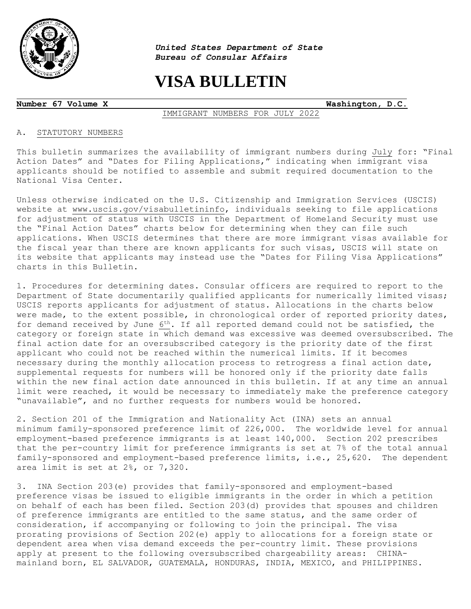

 $\overline{a}$ 

*United States Department of State Bureau of Consular Affairs*

# **VISA BULLETIN**

**Number 67 Volume X Washington, D.C.**

IMMIGRANT NUMBERS FOR JULY 2022

# A. STATUTORY NUMBERS

This bulletin summarizes the availability of immigrant numbers during July for: "Final Action Dates" and "Dates for Filing Applications," indicating when immigrant visa applicants should be notified to assemble and submit required documentation to the National Visa Center.

Unless otherwise indicated on the U.S. Citizenship and Immigration Services (USCIS) website at [www.uscis.gov/visabulletininfo,](http://www.uscis.gov/visabulletininfo) individuals seeking to file applications for adjustment of status with USCIS in the Department of Homeland Security must use the "Final Action Dates" charts below for determining when they can file such applications. When USCIS determines that there are more immigrant visas available for the fiscal year than there are known applicants for such visas, USCIS will state on its website that applicants may instead use the "Dates for Filing Visa Applications" charts in this Bulletin.

1. Procedures for determining dates. Consular officers are required to report to the Department of State documentarily qualified applicants for numerically limited visas; USCIS reports applicants for adjustment of status. Allocations in the charts below were made, to the extent possible, in chronological order of reported priority dates, for demand received by June 6<sup>th</sup>. If all reported demand could not be satisfied, the category or foreign state in which demand was excessive was deemed oversubscribed. The final action date for an oversubscribed category is the priority date of the first applicant who could not be reached within the numerical limits. If it becomes necessary during the monthly allocation process to retrogress a final action date, supplemental requests for numbers will be honored only if the priority date falls within the new final action date announced in this bulletin. If at any time an annual limit were reached, it would be necessary to immediately make the preference category "unavailable", and no further requests for numbers would be honored.

2. Section 201 of the Immigration and Nationality Act (INA) sets an annual minimum family-sponsored preference limit of 226,000. The worldwide level for annual employment-based preference immigrants is at least 140,000. Section 202 prescribes that the per-country limit for preference immigrants is set at 7% of the total annual family-sponsored and employment-based preference limits, i.e., 25,620. The dependent area limit is set at 2%, or 7,320.

3. INA Section 203(e) provides that family-sponsored and employment-based preference visas be issued to eligible immigrants in the order in which a petition on behalf of each has been filed. Section 203(d) provides that spouses and children of preference immigrants are entitled to the same status, and the same order of consideration, if accompanying or following to join the principal. The visa prorating provisions of Section 202(e) apply to allocations for a foreign state or dependent area when visa demand exceeds the per-country limit. These provisions apply at present to the following oversubscribed chargeability areas: CHINAmainland born, EL SALVADOR, GUATEMALA, HONDURAS, INDIA, MEXICO, and PHILIPPINES.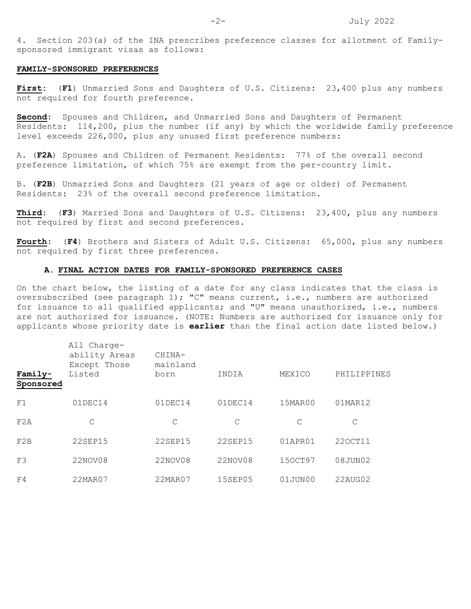4. Section 203(a) of the INA prescribes preference classes for allotment of Familysponsored immigrant visas as follows:

#### **FAMILY-SPONSORED PREFERENCES**

**First:** (**F1**) Unmarried Sons and Daughters of U.S. Citizens: 23,400 plus any numbers not required for fourth preference.

**Second:** Spouses and Children, and Unmarried Sons and Daughters of Permanent Residents: 114,200, plus the number (if any) by which the worldwide family preference level exceeds 226,000, plus any unused first preference numbers:

A. (**F2A**) Spouses and Children of Permanent Residents: 77% of the overall second preference limitation, of which 75% are exempt from the per-country limit.

B. (**F2B**) Unmarried Sons and Daughters (21 years of age or older) of Permanent Residents: 23% of the overall second preference limitation.

**Third:** (**F3**) Married Sons and Daughters of U.S. Citizens: 23,400, plus any numbers not required by first and second preferences.

**Fourth:** (**F4**) Brothers and Sisters of Adult U.S. Citizens: 65,000, plus any numbers not required by first three preferences.

# **A. FINAL ACTION DATES FOR FAMILY-SPONSORED PREFERENCE CASES**

On the chart below, the listing of a date for any class indicates that the class is oversubscribed (see paragraph 1); "C" means current, i.e., numbers are authorized for issuance to all qualified applicants; and "U" means unauthorized, i.e., numbers are not authorized for issuance. (NOTE: Numbers are authorized for issuance only for applicants whose priority date is **earlier** than the final action date listed below.)

| Family-<br>Sponsored | All Charge-<br>ability Areas<br>Except Those<br>Listed | CHINA-<br>mainland<br>born | INDIA      | MEXICO  | PHILIPPINES |
|----------------------|--------------------------------------------------------|----------------------------|------------|---------|-------------|
| F1                   | $01$ DEC14                                             | 01DEC14                    | $01$ DEC14 | 15MAR00 | 01MAR12     |
| F2A                  | С                                                      | C                          | C          | C       | C           |
| F2B                  | <b>22SEP15</b>                                         | 22SEP15                    | 22SEP15    | 01APR01 | 220CT11     |
| F3                   | 22NOV08                                                | 22NOV08                    | 22NOV08    | 150CT97 | 08JUN02     |
| F4                   | 22MAR07                                                | 22MAR07                    | 15SEP05    | 01JUN00 | 22AUG02     |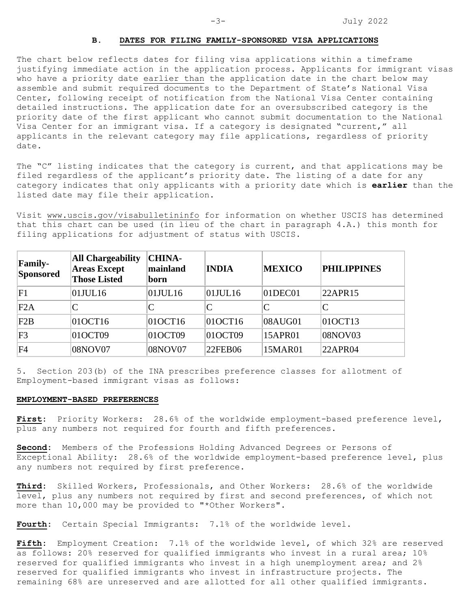# **B. DATES FOR FILING FAMILY-SPONSORED VISA APPLICATIONS**

The chart below reflects dates for filing visa applications within a timeframe justifying immediate action in the application process. Applicants for immigrant visas who have a priority date earlier than the application date in the chart below may assemble and submit required documents to the Department of State's National Visa Center, following receipt of notification from the National Visa Center containing detailed instructions. The application date for an oversubscribed category is the priority date of the first applicant who cannot submit documentation to the National Visa Center for an immigrant visa. If a category is designated "current," all applicants in the relevant category may file applications, regardless of priority date.

The "C" listing indicates that the category is current, and that applications may be filed regardless of the applicant's priority date. The listing of a date for any category indicates that only applicants with a priority date which is **earlier** than the listed date may file their application.

Visit [www.uscis.gov/visabulletininfo](http://www.uscis.gov/visabulletininfo) for information on whether USCIS has determined that this chart can be used (in lieu of the chart in paragraph 4.A.) this month for filing applications for adjustment of status with USCIS.

| <b>Family-</b><br>Sponsored | <b>All Chargeability</b><br><b>Areas Except</b><br><b>Those Listed</b> | <b>CHINA-</b><br>mainland<br>born | <b>INDIA</b> | <b>MEXICO</b>  | <b>PHILIPPINES</b> |
|-----------------------------|------------------------------------------------------------------------|-----------------------------------|--------------|----------------|--------------------|
| F1                          | 01JUL16                                                                | $ 01$ JUL16                       | $01$ JUL16   | $ 01$ DEC $01$ | 22APR15            |
| F2A                         | ⌒                                                                      |                                   | $\mathsf{C}$ | C              | C                  |
| F2B                         | 01OCT16                                                                | 010CT16                           | 01OCT16      | 08AUG01        | 010CT13            |
| F <sub>3</sub>              | 01OCT09                                                                | 01OCT09                           | 01OCT09      | 15APR01        | 08NOV03            |
| F4                          | 08NOV07                                                                | 08NOV07                           | 22FEB06      | 15MAR01        | 22APR04            |

5. Section 203(b) of the INA prescribes preference classes for allotment of Employment-based immigrant visas as follows:

#### **EMPLOYMENT-BASED PREFERENCES**

**First:** Priority Workers: 28.6% of the worldwide employment-based preference level, plus any numbers not required for fourth and fifth preferences.

**Second:** Members of the Professions Holding Advanced Degrees or Persons of Exceptional Ability: 28.6% of the worldwide employment-based preference level, plus any numbers not required by first preference.

**Third:** Skilled Workers, Professionals, and Other Workers: 28.6% of the worldwide level, plus any numbers not required by first and second preferences, of which not more than 10,000 may be provided to "\*Other Workers".

**Fourth:** Certain Special Immigrants: 7.1% of the worldwide level.

**Fifth:** Employment Creation: 7.1% of the worldwide level, of which 32% are reserved as follows: 20% reserved for qualified immigrants who invest in a rural area; 10% reserved for qualified immigrants who invest in a high unemployment area; and 2% reserved for qualified immigrants who invest in infrastructure projects. The remaining 68% are unreserved and are allotted for all other qualified immigrants.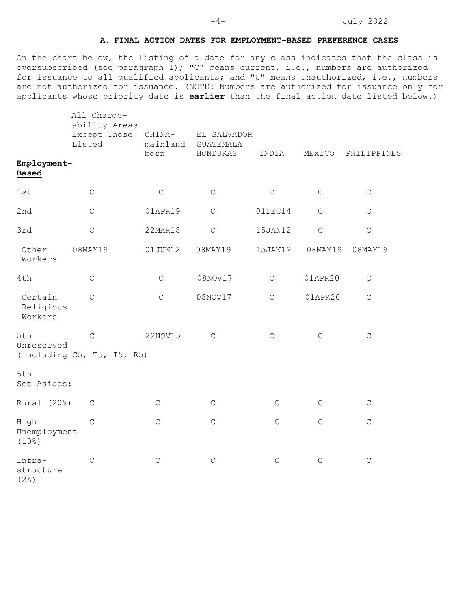-4- July 2022

# **A. FINAL ACTION DATES FOR EMPLOYMENT-BASED PREFERENCE CASES**

On the chart below, the listing of a date for any class indicates that the class is oversubscribed (see paragraph 1); "C" means current, i.e., numbers are authorized for issuance to all qualified applicants; and "U" means unauthorized, i.e., numbers are not authorized for issuance. (NOTE: Numbers are authorized for issuance only for applicants whose priority date is **earlier** than the final action date listed below.)

|                                            | All Charge-<br>ability Areas<br>Except Those<br>Listed | CHINA-<br>mainland | EL SALVADOR<br><b>GUATEMALA</b> |              |             |             |
|--------------------------------------------|--------------------------------------------------------|--------------------|---------------------------------|--------------|-------------|-------------|
| Employment-<br><b>Based</b>                |                                                        | born               | HONDURAS                        | INDIA        | MEXICO      | PHILIPPINES |
| 1st                                        | $\mathsf C$                                            | $\mathsf C$        | $\mathsf C$                     | $\mathsf C$  | $\mathsf C$ | $\mathsf C$ |
| 2nd                                        | $\mathsf C$                                            | 01APR19            | $\mathsf C$                     | 01DEC14      | $\mathsf C$ | $\mathsf C$ |
| 3rd                                        | $\mathsf C$                                            | 22MAR18            | $\mathsf C$                     | 15JAN12      | $\mathsf C$ | $\mathsf C$ |
| Other<br>Workers                           | 08MAY19                                                | 01JUN12            | 08MAY19                         | 15JAN12      | 08MAY19     | 08MAY19     |
| 4th                                        | $\mathsf C$                                            | $\mathsf C$        | 08NOV17                         | $\mathsf{C}$ | 01APR20     | $\mathsf C$ |
| Certain<br>Religious<br>Workers            | $\mathsf{C}$                                           | $\mathsf C$        | 08NOV17                         | $\mathsf C$  | 01APR20     | $\mathsf C$ |
| 5th<br>Unreserved                          | $\mathsf C$<br>(including C5, T5, I5, R5)              | 22NOV15            | $\mathsf{C}$                    | $\mathsf C$  | $\mathsf C$ | $\mathsf C$ |
| 5th<br>Set Asides:                         |                                                        |                    |                                 |              |             |             |
| Rural (20%)                                | $\mathsf C$                                            | $\mathsf C$        | $\mathsf C$                     | $\mathsf C$  | $\mathsf C$ | $\mathsf C$ |
| High<br>Unemployment<br>(10 <sup>°</sup> ) | $\mathsf C$                                            | $\mathsf C$        | $\mathsf C$                     | $\mathsf C$  | $\mathsf C$ | $\mathsf C$ |
| Infra-<br>structure<br>(2 <sup>°</sup> )   | $\mathsf C$                                            | $\mathsf C$        | $\mathsf C$                     | $\mathsf C$  | $\mathsf C$ | $\mathsf C$ |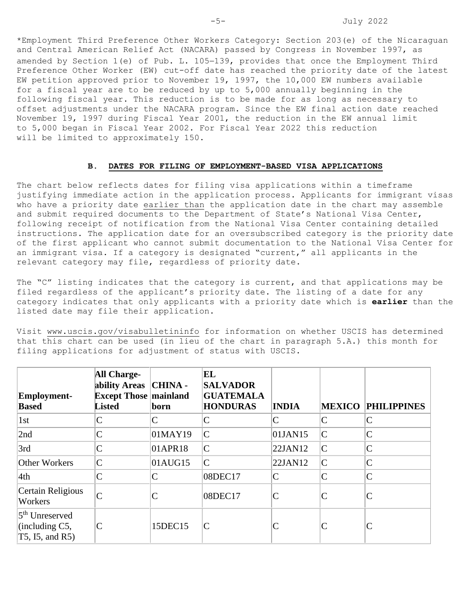\*Employment Third Preference Other Workers Category: Section 203(e) of the Nicaraguan and Central American Relief Act (NACARA) passed by Congress in November 1997, as amended by Section 1(e) of Pub. L. 105−139, provides that once the Employment Third Preference Other Worker (EW) cut-off date has reached the priority date of the latest EW petition approved prior to November 19, 1997, the 10,000 EW numbers available for a fiscal year are to be reduced by up to 5,000 annually beginning in the following fiscal year. This reduction is to be made for as long as necessary to offset adjustments under the NACARA program. Since the EW final action date reached November 19, 1997 during Fiscal Year 2001, the reduction in the EW annual limit to 5,000 began in Fiscal Year 2002. For Fiscal Year 2022 this reduction will be limited to approximately 150.

#### **B. DATES FOR FILING OF EMPLOYMENT-BASED VISA APPLICATIONS**

The chart below reflects dates for filing visa applications within a timeframe justifying immediate action in the application process. Applicants for immigrant visas who have a priority date earlier than the application date in the chart may assemble and submit required documents to the Department of State's National Visa Center, following receipt of notification from the National Visa Center containing detailed instructions. The application date for an oversubscribed category is the priority date of the first applicant who cannot submit documentation to the National Visa Center for an immigrant visa. If a category is designated "current," all applicants in the relevant category may file, regardless of priority date.

The "C" listing indicates that the category is current, and that applications may be filed regardless of the applicant's priority date. The listing of a date for any category indicates that only applicants with a priority date which is **earlier** than the listed date may file their application.

Visit [www.uscis.gov/visabulletininfo](http://www.uscis.gov/visabulletininfo) for information on whether USCIS has determined that this chart can be used (in lieu of the chart in paragraph 5.A.) this month for filing applications for adjustment of status with USCIS.

| <b>Employment-</b><br><b>Based</b>                                 | <b>All Charge-</b><br>ability Areas   CHINA -<br><b>Except Those mainland</b><br><b>Listed</b> | born    | EL<br><b>SALVADOR</b><br><b>GUATEMALA</b><br><b>HONDURAS</b> | <b>INDIA</b>   | <b>MEXICO</b> | <b>PHILIPPINES</b> |
|--------------------------------------------------------------------|------------------------------------------------------------------------------------------------|---------|--------------------------------------------------------------|----------------|---------------|--------------------|
| 1st                                                                |                                                                                                |         | $\mathsf{C}$                                                 | $\mathsf{C}$   | $\mathsf{C}$  | $\mathsf{C}$       |
| 2nd                                                                |                                                                                                | 01MAY19 | $\mathsf{C}$                                                 | 01JAN15        | $\mathsf{C}$  | $\mathcal{C}$      |
| 3rd                                                                |                                                                                                | 01APR18 | $\mathsf{C}$                                                 | 22JAN12        | $\mathsf{C}$  | $\mathcal{C}$      |
| Other Workers                                                      | $\overline{C}$                                                                                 | 01AUG15 | $\mathsf{C}$                                                 | 22JAN12        | $\mathsf{C}$  | $\mathcal{C}$      |
| 4th                                                                | C                                                                                              | C       | 08DEC17                                                      | $\mathsf{C}$   | $\mathsf{C}$  | $\mathcal{C}$      |
| Certain Religious<br>Workers                                       |                                                                                                |         | 08DEC17                                                      | $\overline{C}$ | $\mathsf{C}$  | $\mathsf{C}$       |
| 5 <sup>th</sup> Unreserved<br>(including $C5$ ,<br>T5, I5, and R5) | $\mathsf{C}$                                                                                   | 15DEC15 | $\mathcal{C}$                                                |                | $\mathsf{C}$  | $\mathsf C$        |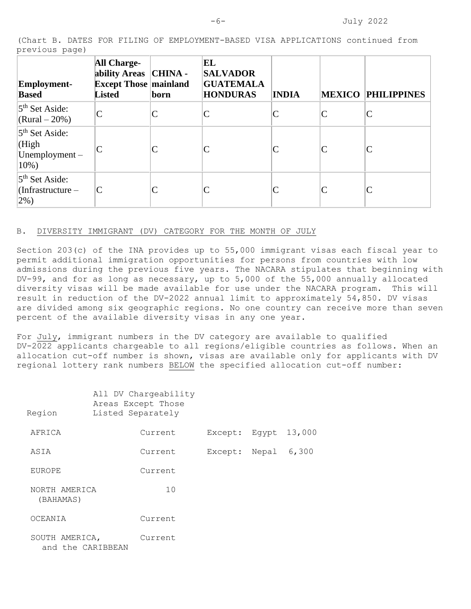(Chart B. DATES FOR FILING OF EMPLOYMENT-BASED VISA APPLICATIONS continued from previous page)

| <b>Employment-</b><br><b>Based</b>                              | <b>All Charge-</b><br>ability Areas   CHINA -<br><b>Except Those mainland</b><br><b>Listed</b> | born | EL<br><b>SALVADOR</b><br><b>GUATEMALA</b><br><b>HONDURAS</b> | <b>INDIA</b> | MEXICO       | <b>PHILIPPINES</b> |
|-----------------------------------------------------------------|------------------------------------------------------------------------------------------------|------|--------------------------------------------------------------|--------------|--------------|--------------------|
| $5th$ Set Aside:<br>$(Rural - 20\%)$                            | $\overline{C}$                                                                                 | Ċ    | C                                                            |              | C            | C                  |
| 5 <sup>th</sup> Set Aside:<br>(High<br>$Unemployment -$<br>10%) |                                                                                                |      | C                                                            |              | C            |                    |
| $5th$ Set Aside:<br>$Infrastructure -$<br>$2\%$ )               |                                                                                                |      | C                                                            |              | $\mathsf{C}$ | C                  |

### B. DIVERSITY IMMIGRANT (DV) CATEGORY FOR THE MONTH OF JULY

Section 203(c) of the INA provides up to 55,000 immigrant visas each fiscal year to permit additional immigration opportunities for persons from countries with low admissions during the previous five years. The NACARA stipulates that beginning with DV-99, and for as long as necessary, up to 5,000 of the 55,000 annually allocated diversity visas will be made available for use under the NACARA program. This will result in reduction of the DV-2022 annual limit to approximately 54,850. DV visas are divided among six geographic regions. No one country can receive more than seven percent of the available diversity visas in any one year.

For July, immigrant numbers in the DV category are available to qualified DV-2022 applicants chargeable to all regions/eligible countries as follows. When an allocation cut-off number is shown, visas are available only for applicants with DV regional lottery rank numbers BELOW the specified allocation cut-off number:

| Region                              | All DV Chargeability<br>Areas Except Those<br>Listed Separately |         |       |        |  |
|-------------------------------------|-----------------------------------------------------------------|---------|-------|--------|--|
| AFRICA                              | Current                                                         | Except: | Egypt | 13,000 |  |
| ASIA                                | Current                                                         | Except: | Nepal | 6,300  |  |
| <b>EUROPE</b>                       | Current                                                         |         |       |        |  |
| NORTH AMERICA<br>(BAHAMAS)          | 10                                                              |         |       |        |  |
| OCEANIA                             | Current                                                         |         |       |        |  |
| SOUTH AMERICA,<br>and the CARIBBEAN | Current                                                         |         |       |        |  |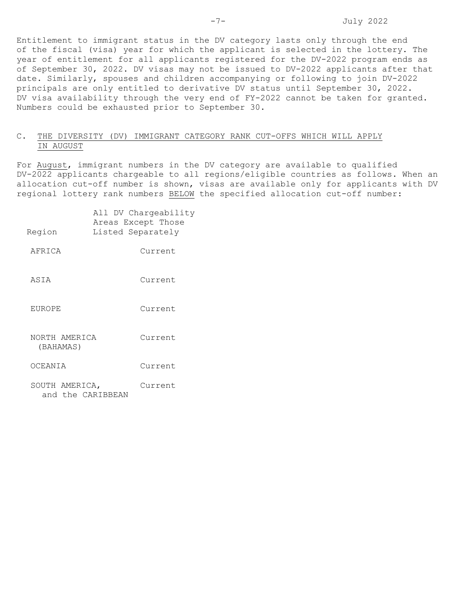Entitlement to immigrant status in the DV category lasts only through the end of the fiscal (visa) year for which the applicant is selected in the lottery. The year of entitlement for all applicants registered for the DV-2022 program ends as of September 30, 2022. DV visas may not be issued to DV-2022 applicants after that date. Similarly, spouses and children accompanying or following to join DV-2022 principals are only entitled to derivative DV status until September 30, 2022. DV visa availability through the very end of FY-2022 cannot be taken for granted. Numbers could be exhausted prior to September 30.

# C. THE DIVERSITY (DV) IMMIGRANT CATEGORY RANK CUT-OFFS WHICH WILL APPLY IN AUGUST

For August, immigrant numbers in the DV category are available to qualified DV-2022 applicants chargeable to all regions/eligible countries as follows. When an allocation cut-off number is shown, visas are available only for applicants with DV regional lottery rank numbers BELOW the specified allocation cut-off number:

| Region                              | All DV Chargeability<br>Areas Except Those<br>Listed Separately |  |
|-------------------------------------|-----------------------------------------------------------------|--|
| AFRICA                              | Current                                                         |  |
| ASIA                                | Current                                                         |  |
| <b>EUROPE</b>                       | Current                                                         |  |
| NORTH AMERICA<br>(BAHAMAS)          | Current                                                         |  |
| OCEANIA                             | Current                                                         |  |
| SOUTH AMERICA,<br>and the CARIBBEAN | Current                                                         |  |